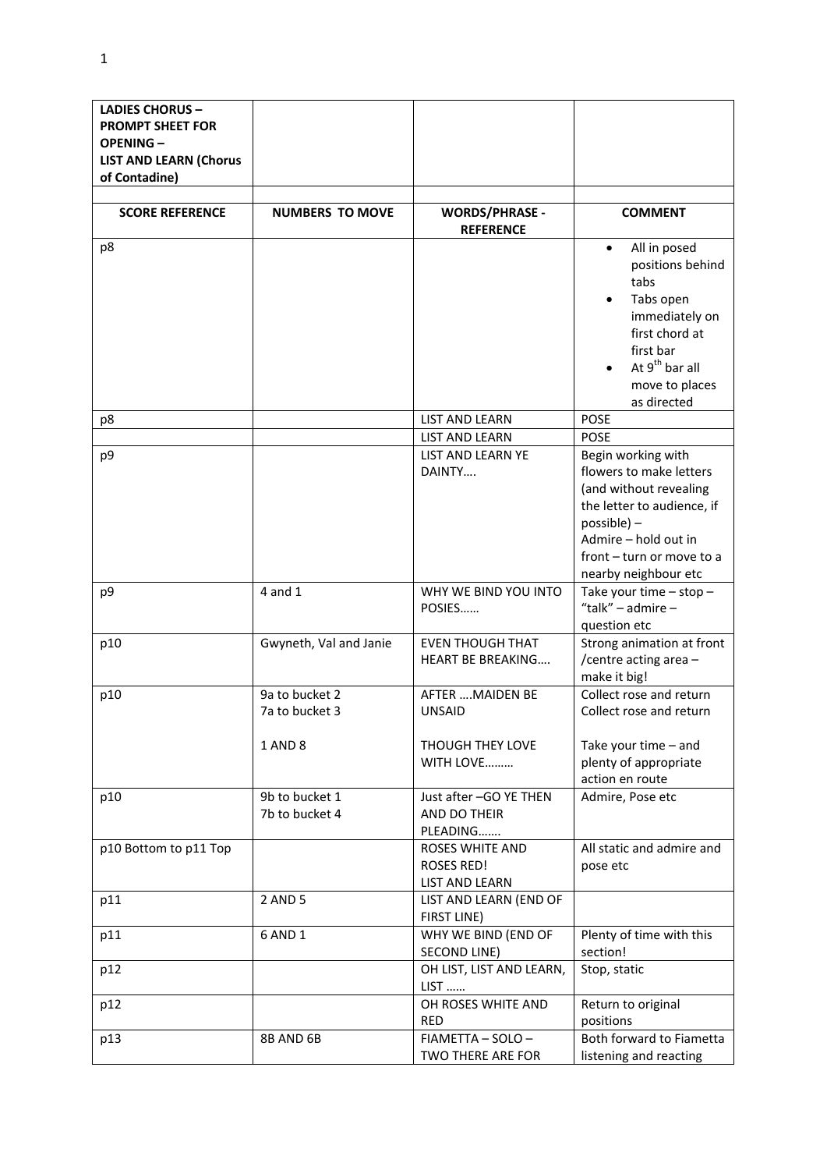| <b>LADIES CHORUS -</b><br><b>PROMPT SHEET FOR</b> |                                  |                                                   |                                                     |
|---------------------------------------------------|----------------------------------|---------------------------------------------------|-----------------------------------------------------|
| <b>OPENING-</b>                                   |                                  |                                                   |                                                     |
| <b>LIST AND LEARN (Chorus</b>                     |                                  |                                                   |                                                     |
| of Contadine)                                     |                                  |                                                   |                                                     |
|                                                   |                                  |                                                   |                                                     |
| <b>SCORE REFERENCE</b>                            | <b>NUMBERS TO MOVE</b>           | <b>WORDS/PHRASE -</b><br><b>REFERENCE</b>         | <b>COMMENT</b>                                      |
| p8                                                |                                  |                                                   | All in posed                                        |
|                                                   |                                  |                                                   | positions behind                                    |
|                                                   |                                  |                                                   | tabs                                                |
|                                                   |                                  |                                                   | Tabs open<br>immediately on                         |
|                                                   |                                  |                                                   | first chord at                                      |
|                                                   |                                  |                                                   | first bar                                           |
|                                                   |                                  |                                                   | At $9^{th}$ bar all                                 |
|                                                   |                                  |                                                   | move to places                                      |
|                                                   |                                  |                                                   | as directed                                         |
| p8                                                |                                  | <b>LIST AND LEARN</b>                             | <b>POSE</b>                                         |
| p <sub>9</sub>                                    |                                  | <b>LIST AND LEARN</b><br><b>LIST AND LEARN YE</b> | <b>POSE</b><br>Begin working with                   |
|                                                   |                                  | DAINTY                                            | flowers to make letters                             |
|                                                   |                                  |                                                   | (and without revealing                              |
|                                                   |                                  |                                                   | the letter to audience, if                          |
|                                                   |                                  |                                                   | possible) -                                         |
|                                                   |                                  |                                                   | Admire - hold out in                                |
|                                                   |                                  |                                                   | front - turn or move to a                           |
| p9                                                | $4$ and $1$                      | WHY WE BIND YOU INTO                              | nearby neighbour etc<br>Take your time $-$ stop $-$ |
|                                                   |                                  | POSIES                                            | "talk" - admire -                                   |
|                                                   |                                  |                                                   | question etc                                        |
| p10                                               | Gwyneth, Val and Janie           | <b>EVEN THOUGH THAT</b>                           | Strong animation at front                           |
|                                                   |                                  | <b>HEART BE BREAKING</b>                          | /centre acting area -                               |
|                                                   |                                  |                                                   | make it big!                                        |
| p10                                               | 9a to bucket 2<br>7a to bucket 3 | <b>AFTER MAIDEN BE</b><br><b>UNSAID</b>           | Collect rose and return<br>Collect rose and return  |
|                                                   |                                  |                                                   |                                                     |
|                                                   | 1 AND 8                          | THOUGH THEY LOVE                                  | Take your time $-$ and                              |
|                                                   |                                  | WITH LOVE                                         | plenty of appropriate                               |
|                                                   |                                  |                                                   | action en route                                     |
| p10                                               | 9b to bucket 1                   | Just after - GO YE THEN                           | Admire, Pose etc                                    |
|                                                   | 7b to bucket 4                   | AND DO THEIR<br>PLEADING                          |                                                     |
| p10 Bottom to p11 Top                             |                                  | <b>ROSES WHITE AND</b>                            | All static and admire and                           |
|                                                   |                                  | <b>ROSES RED!</b>                                 | pose etc                                            |
|                                                   |                                  | LIST AND LEARN                                    |                                                     |
| p11                                               | 2 AND 5                          | LIST AND LEARN (END OF                            |                                                     |
|                                                   |                                  | FIRST LINE)                                       |                                                     |
| p11                                               | 6 AND 1                          | WHY WE BIND (END OF                               | Plenty of time with this                            |
| p12                                               |                                  | SECOND LINE)<br>OH LIST, LIST AND LEARN,          | section!<br>Stop, static                            |
|                                                   |                                  | <b>LIST</b>                                       |                                                     |
| p12                                               |                                  | OH ROSES WHITE AND                                | Return to original                                  |
|                                                   |                                  | <b>RED</b>                                        | positions                                           |
| p13                                               | 8B AND 6B                        | FIAMETTA - SOLO -                                 | Both forward to Fiametta                            |
|                                                   |                                  | TWO THERE ARE FOR                                 | listening and reacting                              |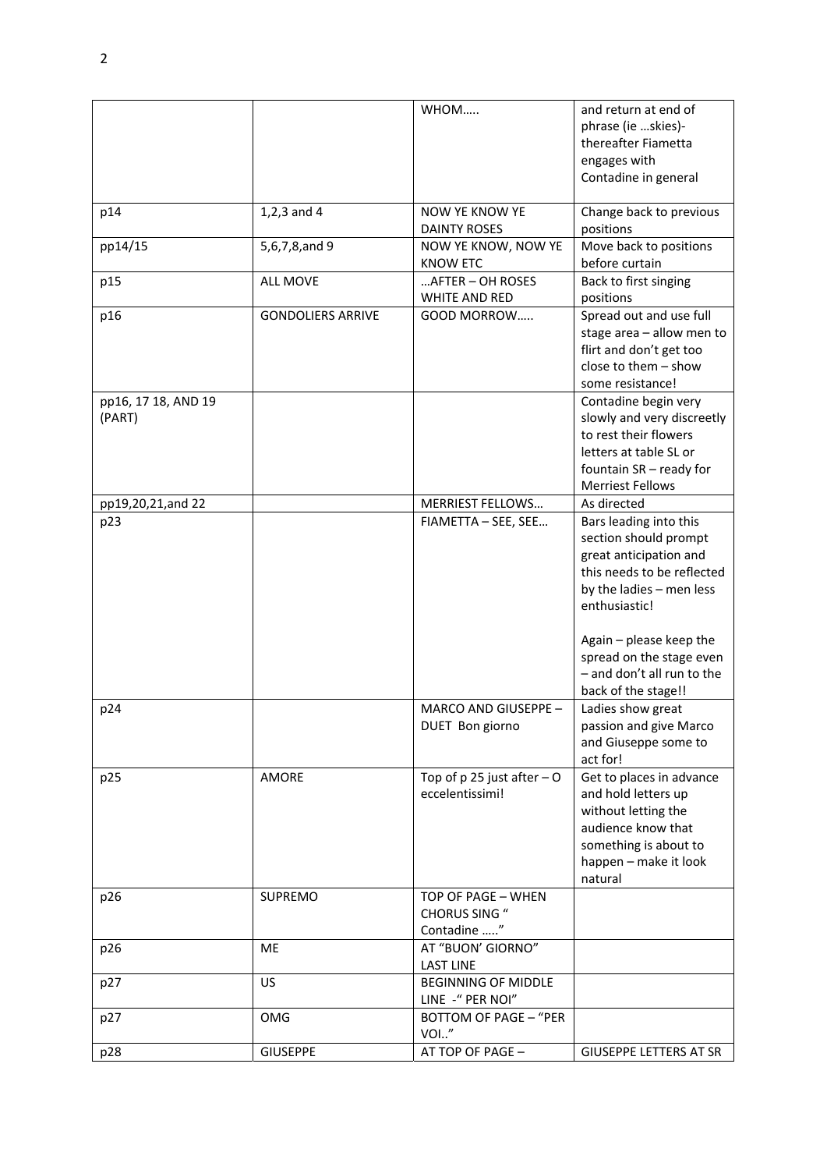|                               |                          | WHOM                                                      | and return at end of<br>phrase (ie skies)-<br>thereafter Fiametta<br>engages with<br>Contadine in general                                                                                                                                                        |
|-------------------------------|--------------------------|-----------------------------------------------------------|------------------------------------------------------------------------------------------------------------------------------------------------------------------------------------------------------------------------------------------------------------------|
| p14                           | $1,2,3$ and 4            | <b>NOW YE KNOW YE</b><br><b>DAINTY ROSES</b>              | Change back to previous<br>positions                                                                                                                                                                                                                             |
| pp14/15                       | 5,6,7,8,and 9            | NOW YE KNOW, NOW YE<br><b>KNOW ETC</b>                    | Move back to positions<br>before curtain                                                                                                                                                                                                                         |
| p15                           | <b>ALL MOVE</b>          | $$ AFTER - OH ROSES<br>WHITE AND RED                      | Back to first singing<br>positions                                                                                                                                                                                                                               |
| p16                           | <b>GONDOLIERS ARRIVE</b> | GOOD MORROW                                               | Spread out and use full<br>stage area - allow men to<br>flirt and don't get too<br>close to them - show<br>some resistance!                                                                                                                                      |
| pp16, 17 18, AND 19<br>(PART) |                          |                                                           | Contadine begin very<br>slowly and very discreetly<br>to rest their flowers<br>letters at table SL or<br>fountain SR - ready for<br><b>Merriest Fellows</b>                                                                                                      |
| pp19,20,21,and 22             |                          | <b>MERRIEST FELLOWS</b>                                   | As directed                                                                                                                                                                                                                                                      |
| p23                           |                          | FIAMETTA - SEE, SEE                                       | Bars leading into this<br>section should prompt<br>great anticipation and<br>this needs to be reflected<br>by the ladies - men less<br>enthusiastic!<br>Again - please keep the<br>spread on the stage even<br>- and don't all run to the<br>back of the stage!! |
| p24                           |                          | MARCO AND GIUSEPPE -<br>DUET Bon giorno                   | Ladies show great<br>passion and give Marco<br>and Giuseppe some to<br>act for!                                                                                                                                                                                  |
| p25                           | AMORE                    | Top of $p$ 25 just after $-$ O<br>eccelentissimi!         | Get to places in advance<br>and hold letters up<br>without letting the<br>audience know that<br>something is about to<br>happen - make it look<br>natural                                                                                                        |
| p26                           | <b>SUPREMO</b>           | TOP OF PAGE - WHEN<br><b>CHORUS SING "</b><br>Contadine " |                                                                                                                                                                                                                                                                  |
| p26                           | <b>ME</b>                | AT "BUON' GIORNO"<br><b>LAST LINE</b>                     |                                                                                                                                                                                                                                                                  |
| p27                           | <b>US</b>                | <b>BEGINNING OF MIDDLE</b><br>LINE -" PER NOI"            |                                                                                                                                                                                                                                                                  |
| p27                           | <b>OMG</b>               | <b>BOTTOM OF PAGE - "PER</b><br>VOI"                      |                                                                                                                                                                                                                                                                  |
| p28                           | <b>GIUSEPPE</b>          | AT TOP OF PAGE -                                          | <b>GIUSEPPE LETTERS AT SR</b>                                                                                                                                                                                                                                    |